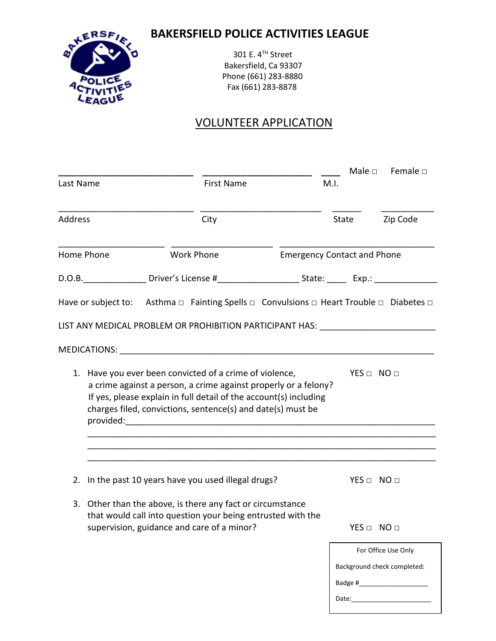## **BAKERSFIELD POLICE ACTIVITIES LEAGUE**



301 E. 4TH Street Bakersfield, Ca 93307 Phone (661) 283-8880 Fax (661) 283-8878

## VOLUNTEER APPLICATION

|                |                                                                                                                                                                                                                                                                                                                                                                                                               |                   |                                                                                                                    |                                    |       | Male $\square$     | Female $\square$                                                                     |
|----------------|---------------------------------------------------------------------------------------------------------------------------------------------------------------------------------------------------------------------------------------------------------------------------------------------------------------------------------------------------------------------------------------------------------------|-------------------|--------------------------------------------------------------------------------------------------------------------|------------------------------------|-------|--------------------|--------------------------------------------------------------------------------------|
| Last Name      |                                                                                                                                                                                                                                                                                                                                                                                                               | <b>First Name</b> |                                                                                                                    | M.I.                               |       |                    |                                                                                      |
| <b>Address</b> |                                                                                                                                                                                                                                                                                                                                                                                                               | City              |                                                                                                                    | State                              |       | Zip Code           |                                                                                      |
| Home Phone     |                                                                                                                                                                                                                                                                                                                                                                                                               | <b>Work Phone</b> |                                                                                                                    | <b>Emergency Contact and Phone</b> |       |                    |                                                                                      |
|                |                                                                                                                                                                                                                                                                                                                                                                                                               |                   | D.O.B. ____________________Driver's License #__________________________State: ________________________________     |                                    |       |                    |                                                                                      |
|                |                                                                                                                                                                                                                                                                                                                                                                                                               |                   |                                                                                                                    |                                    |       |                    |                                                                                      |
|                |                                                                                                                                                                                                                                                                                                                                                                                                               |                   | LIST ANY MEDICAL PROBLEM OR PROHIBITION PARTICIPANT HAS: _______________________                                   |                                    |       |                    |                                                                                      |
|                |                                                                                                                                                                                                                                                                                                                                                                                                               |                   |                                                                                                                    |                                    |       |                    |                                                                                      |
|                | 1. Have you ever been convicted of a crime of violence,<br>$YES \Box NO \Box$<br>a crime against a person, a crime against properly or a felony?<br>If yes, please explain in full detail of the account(s) including<br>charges filed, convictions, sentence(s) and date(s) must be<br><u> 1989 - Johann Harry Harry Harry Harry Harry Harry Harry Harry Harry Harry Harry Harry Harry Harry Harry Harry</u> |                   |                                                                                                                    |                                    |       |                    |                                                                                      |
|                |                                                                                                                                                                                                                                                                                                                                                                                                               |                   | 2. In the past 10 years have you used illegal drugs?<br>3. Other than the above, is there any fact or circumstance |                                    |       | $YES \Box NO \Box$ |                                                                                      |
|                |                                                                                                                                                                                                                                                                                                                                                                                                               |                   | that would call into question your being entrusted with the<br>supervision, guidance and care of a minor?          |                                    |       | $YES \Box NO \Box$ |                                                                                      |
|                |                                                                                                                                                                                                                                                                                                                                                                                                               |                   |                                                                                                                    |                                    | Date: |                    | For Office Use Only<br>Background check completed:<br>Badge #_______________________ |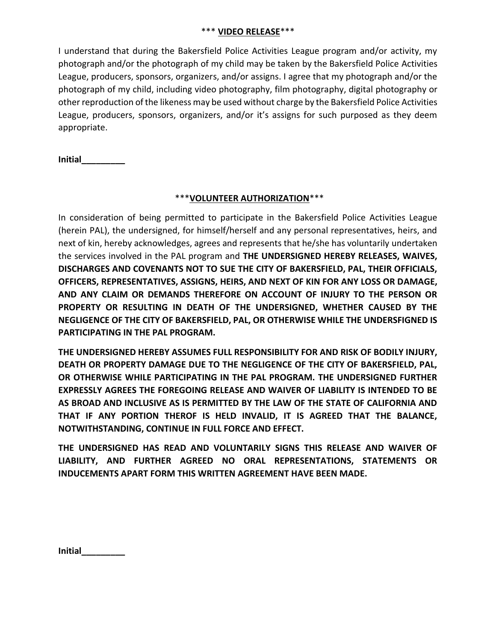## \*\*\* **VIDEO RELEASE**\*\*\*

I understand that during the Bakersfield Police Activities League program and/or activity, my photograph and/or the photograph of my child may be taken by the Bakersfield Police Activities League, producers, sponsors, organizers, and/or assigns. I agree that my photograph and/or the photograph of my child, including video photography, film photography, digital photography or other reproduction of the likeness may be used without charge by the Bakersfield Police Activities League, producers, sponsors, organizers, and/or it's assigns for such purposed as they deem appropriate.

**Initial\_\_\_\_\_\_\_\_\_**

## \*\*\***VOLUNTEER AUTHORIZATION**\*\*\*

In consideration of being permitted to participate in the Bakersfield Police Activities League (herein PAL), the undersigned, for himself/herself and any personal representatives, heirs, and next of kin, hereby acknowledges, agrees and represents that he/she has voluntarily undertaken the services involved in the PAL program and **THE UNDERSIGNED HEREBY RELEASES, WAIVES, DISCHARGES AND COVENANTS NOT TO SUE THE CITY OF BAKERSFIELD, PAL, THEIR OFFICIALS, OFFICERS, REPRESENTATIVES, ASSIGNS, HEIRS, AND NEXT OF KIN FOR ANY LOSS OR DAMAGE, AND ANY CLAIM OR DEMANDS THEREFORE ON ACCOUNT OF INJURY TO THE PERSON OR PROPERTY OR RESULTING IN DEATH OF THE UNDERSIGNED, WHETHER CAUSED BY THE NEGLIGENCE OF THE CITY OF BAKERSFIELD, PAL, OR OTHERWISE WHILE THE UNDERSFIGNED IS PARTICIPATING IN THE PAL PROGRAM.**

**THE UNDERSIGNED HEREBY ASSUMES FULL RESPONSIBILITY FOR AND RISK OF BODILY INJURY, DEATH OR PROPERTY DAMAGE DUE TO THE NEGLIGENCE OF THE CITY OF BAKERSFIELD, PAL, OR OTHERWISE WHILE PARTICIPATING IN THE PAL PROGRAM. THE UNDERSIGNED FURTHER EXPRESSLY AGREES THE FOREGOING RELEASE AND WAIVER OF LIABILITY IS INTENDED TO BE AS BROAD AND INCLUSIVE AS IS PERMITTED BY THE LAW OF THE STATE OF CALIFORNIA AND THAT IF ANY PORTION THEROF IS HELD INVALID, IT IS AGREED THAT THE BALANCE, NOTWITHSTANDING, CONTINUE IN FULL FORCE AND EFFECT.**

**THE UNDERSIGNED HAS READ AND VOLUNTARILY SIGNS THIS RELEASE AND WAIVER OF LIABILITY, AND FURTHER AGREED NO ORAL REPRESENTATIONS, STATEMENTS OR INDUCEMENTS APART FORM THIS WRITTEN AGREEMENT HAVE BEEN MADE.**

**Initial\_\_\_\_\_\_\_\_\_**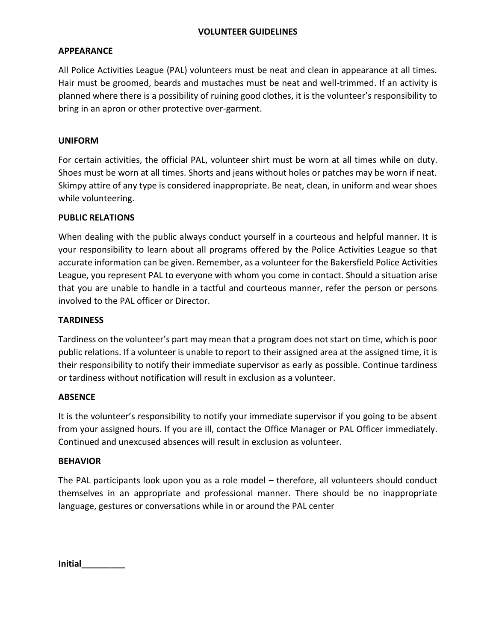## **VOLUNTEER GUIDELINES**

## **APPEARANCE**

All Police Activities League (PAL) volunteers must be neat and clean in appearance at all times. Hair must be groomed, beards and mustaches must be neat and well-trimmed. If an activity is planned where there is a possibility of ruining good clothes, it is the volunteer's responsibility to bring in an apron or other protective over-garment.

## **UNIFORM**

For certain activities, the official PAL, volunteer shirt must be worn at all times while on duty. Shoes must be worn at all times. Shorts and jeans without holes or patches may be worn if neat. Skimpy attire of any type is considered inappropriate. Be neat, clean, in uniform and wear shoes while volunteering.

## **PUBLIC RELATIONS**

When dealing with the public always conduct yourself in a courteous and helpful manner. It is your responsibility to learn about all programs offered by the Police Activities League so that accurate information can be given. Remember, as a volunteer for the Bakersfield Police Activities League, you represent PAL to everyone with whom you come in contact. Should a situation arise that you are unable to handle in a tactful and courteous manner, refer the person or persons involved to the PAL officer or Director.

## **TARDINESS**

Tardiness on the volunteer's part may mean that a program does not start on time, which is poor public relations. If a volunteer is unable to report to their assigned area at the assigned time, it is their responsibility to notify their immediate supervisor as early as possible. Continue tardiness or tardiness without notification will result in exclusion as a volunteer.

## **ABSENCE**

It is the volunteer's responsibility to notify your immediate supervisor if you going to be absent from your assigned hours. If you are ill, contact the Office Manager or PAL Officer immediately. Continued and unexcused absences will result in exclusion as volunteer.

## **BEHAVIOR**

The PAL participants look upon you as a role model – therefore, all volunteers should conduct themselves in an appropriate and professional manner. There should be no inappropriate language, gestures or conversations while in or around the PAL center

**Initial\_\_\_\_\_\_\_\_\_**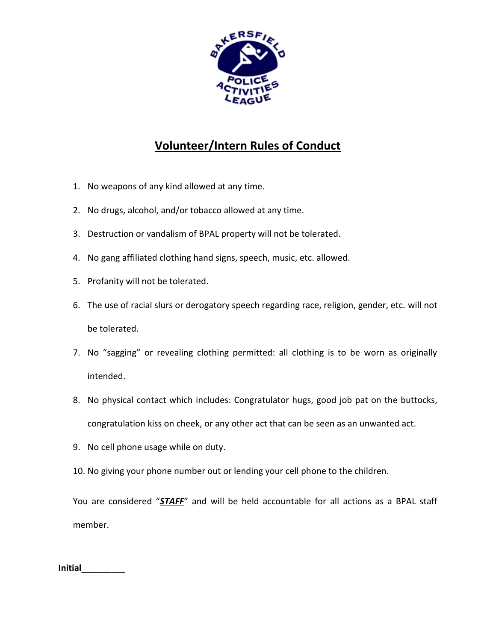

# **Volunteer/Intern Rules of Conduct**

- 1. No weapons of any kind allowed at any time.
- 2. No drugs, alcohol, and/or tobacco allowed at any time.
- 3. Destruction or vandalism of BPAL property will not be tolerated.
- 4. No gang affiliated clothing hand signs, speech, music, etc. allowed.
- 5. Profanity will not be tolerated.
- 6. The use of racial slurs or derogatory speech regarding race, religion, gender, etc. will not be tolerated.
- 7. No "sagging" or revealing clothing permitted: all clothing is to be worn as originally intended.
- 8. No physical contact which includes: Congratulator hugs, good job pat on the buttocks, congratulation kiss on cheek, or any other act that can be seen as an unwanted act.
- 9. No cell phone usage while on duty.
- 10. No giving your phone number out or lending your cell phone to the children.

You are considered "*STAFF*" and will be held accountable for all actions as a BPAL staff member.

**Initial\_\_\_\_\_\_\_\_\_**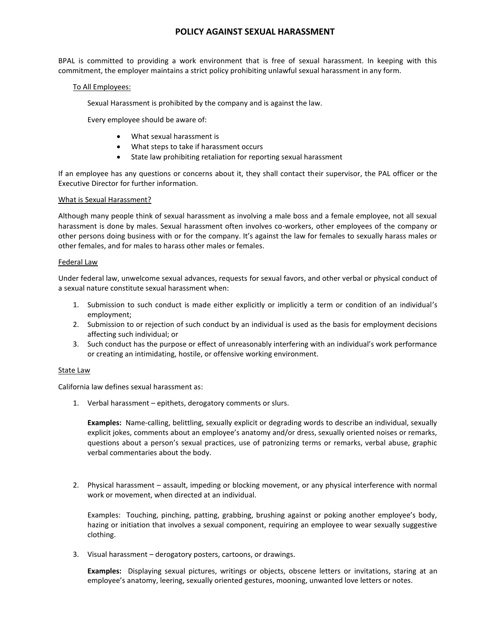## **POLICY AGAINST SEXUAL HARASSMENT**

BPAL is committed to providing a work environment that is free of sexual harassment. In keeping with this commitment, the employer maintains a strict policy prohibiting unlawful sexual harassment in any form.

### To All Employees:

Sexual Harassment is prohibited by the company and is against the law.

Every employee should be aware of:

- What sexual harassment is
- What steps to take if harassment occurs
- State law prohibiting retaliation for reporting sexual harassment

If an employee has any questions or concerns about it, they shall contact their supervisor, the PAL officer or the Executive Director for further information.

### What is Sexual Harassment?

Although many people think of sexual harassment as involving a male boss and a female employee, not all sexual harassment is done by males. Sexual harassment often involves co-workers, other employees of the company or other persons doing business with or for the company. It's against the law for females to sexually harass males or other females, and for males to harass other males or females.

### Federal Law

Under federal law, unwelcome sexual advances, requests for sexual favors, and other verbal or physical conduct of a sexual nature constitute sexual harassment when:

- 1. Submission to such conduct is made either explicitly or implicitly a term or condition of an individual's employment;
- 2. Submission to or rejection of such conduct by an individual is used as the basis for employment decisions affecting such individual; or
- 3. Such conduct has the purpose or effect of unreasonably interfering with an individual's work performance or creating an intimidating, hostile, or offensive working environment.

### State Law

California law defines sexual harassment as:

1. Verbal harassment – epithets, derogatory comments or slurs.

**Examples:** Name-calling, belittling, sexually explicit or degrading words to describe an individual, sexually explicit jokes, comments about an employee's anatomy and/or dress, sexually oriented noises or remarks, questions about a person's sexual practices, use of patronizing terms or remarks, verbal abuse, graphic verbal commentaries about the body.

2. Physical harassment – assault, impeding or blocking movement, or any physical interference with normal work or movement, when directed at an individual.

Examples: Touching, pinching, patting, grabbing, brushing against or poking another employee's body, hazing or initiation that involves a sexual component, requiring an employee to wear sexually suggestive clothing.

3. Visual harassment – derogatory posters, cartoons, or drawings.

**Examples:** Displaying sexual pictures, writings or objects, obscene letters or invitations, staring at an employee's anatomy, leering, sexually oriented gestures, mooning, unwanted love letters or notes.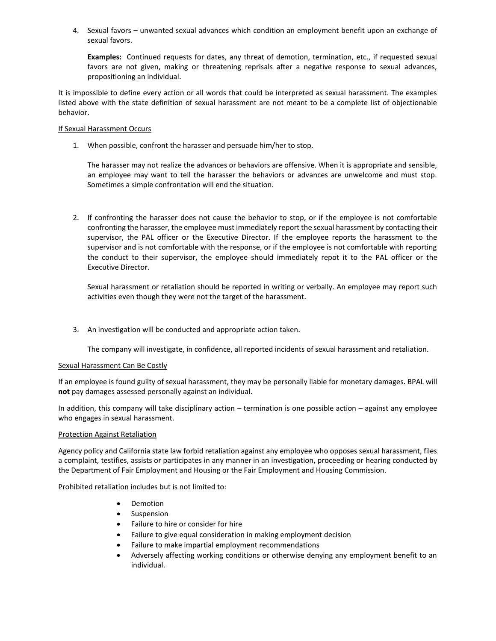4. Sexual favors – unwanted sexual advances which condition an employment benefit upon an exchange of sexual favors.

**Examples:** Continued requests for dates, any threat of demotion, termination, etc., if requested sexual favors are not given, making or threatening reprisals after a negative response to sexual advances, propositioning an individual.

It is impossible to define every action or all words that could be interpreted as sexual harassment. The examples listed above with the state definition of sexual harassment are not meant to be a complete list of objectionable behavior.

### **If Sexual Harassment Occurs**

1. When possible, confront the harasser and persuade him/her to stop.

The harasser may not realize the advances or behaviors are offensive. When it is appropriate and sensible, an employee may want to tell the harasser the behaviors or advances are unwelcome and must stop. Sometimes a simple confrontation will end the situation.

2. If confronting the harasser does not cause the behavior to stop, or if the employee is not comfortable confronting the harasser, the employee must immediately report the sexual harassment by contacting their supervisor, the PAL officer or the Executive Director. If the employee reports the harassment to the supervisor and is not comfortable with the response, or if the employee is not comfortable with reporting the conduct to their supervisor, the employee should immediately repot it to the PAL officer or the Executive Director.

Sexual harassment or retaliation should be reported in writing or verbally. An employee may report such activities even though they were not the target of the harassment.

3. An investigation will be conducted and appropriate action taken.

The company will investigate, in confidence, all reported incidents of sexual harassment and retaliation.

### Sexual Harassment Can Be Costly

If an employee is found guilty of sexual harassment, they may be personally liable for monetary damages. BPAL will **not** pay damages assessed personally against an individual.

In addition, this company will take disciplinary action – termination is one possible action – against any employee who engages in sexual harassment.

### Protection Against Retaliation

Agency policy and California state law forbid retaliation against any employee who opposes sexual harassment, files a complaint, testifies, assists or participates in any manner in an investigation, proceeding or hearing conducted by the Department of Fair Employment and Housing or the Fair Employment and Housing Commission.

Prohibited retaliation includes but is not limited to:

- **Demotion**
- **Suspension**
- Failure to hire or consider for hire
- Failure to give equal consideration in making employment decision
- Failure to make impartial employment recommendations
- Adversely affecting working conditions or otherwise denying any employment benefit to an individual.